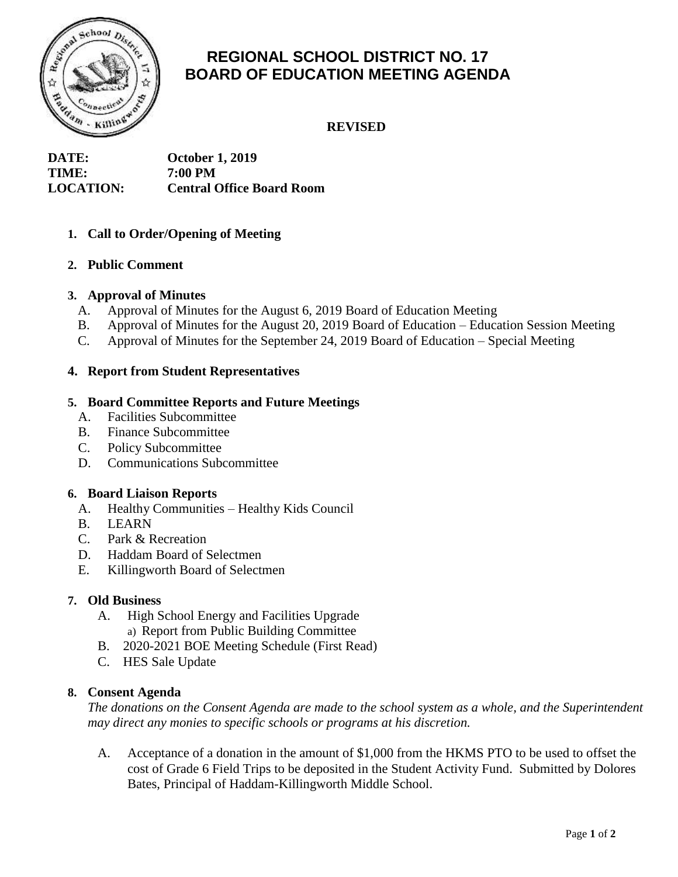

# **REGIONAL SCHOOL DISTRICT NO. 17 BOARD OF EDUCATION MEETING AGENDA**

**REVISED**

**DATE: October 1, 2019 TIME: 7:00 PM LOCATION: Central Office Board Room**

## **1. Call to Order/Opening of Meeting**

#### **2. Public Comment**

#### **3. Approval of Minutes**

- A. Approval of Minutes for the August 6, 2019 Board of Education Meeting
- B. Approval of Minutes for the August 20, 2019 Board of Education Education Session Meeting
- C. Approval of Minutes for the September 24, 2019 Board of Education Special Meeting

## **4. Report from Student Representatives**

## **5. Board Committee Reports and Future Meetings**

- A. Facilities Subcommittee
- B. Finance Subcommittee
- C. Policy Subcommittee
- D. Communications Subcommittee

#### **6. Board Liaison Reports**

- A. Healthy Communities Healthy Kids Council
- B. LEARN
- C. Park & Recreation
- D. Haddam Board of Selectmen
- E. Killingworth Board of Selectmen

#### **7. Old Business**

- A. High School Energy and Facilities Upgrade a) Report from Public Building Committee
- B. 2020-2021 BOE Meeting Schedule (First Read)
- C. HES Sale Update

#### **8. Consent Agenda**

*The donations on the Consent Agenda are made to the school system as a whole, and the Superintendent may direct any monies to specific schools or programs at his discretion.* 

A. Acceptance of a donation in the amount of \$1,000 from the HKMS PTO to be used to offset the cost of Grade 6 Field Trips to be deposited in the Student Activity Fund. Submitted by Dolores Bates, Principal of Haddam-Killingworth Middle School.